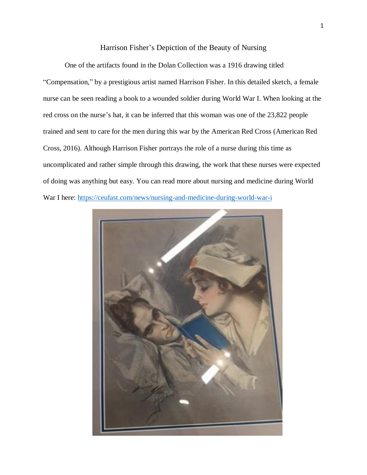# Harrison Fisher's Depiction of the Beauty of Nursing

One of the artifacts found in the Dolan Collection was a 1916 drawing titled "Compensation," by a prestigious artist named Harrison Fisher. In this detailed sketch, a female nurse can be seen reading a book to a wounded soldier during World War I. When looking at the red cross on the nurse's hat, it can be inferred that this woman was one of the 23,822 people trained and sent to care for the men during this war by the American Red Cross (American Red Cross, 2016). Although Harrison Fisher portrays the role of a nurse during this time as uncomplicated and rather simple through this drawing, the work that these nurses were expected of doing was anything but easy. You can read more about nursing and medicine during World War I here:<https://ceufast.com/news/nursing-and-medicine-during-world-war-i>

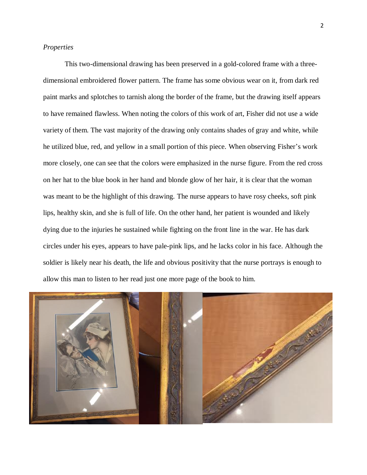## *Properties*

This two-dimensional drawing has been preserved in a gold-colored frame with a threedimensional embroidered flower pattern. The frame has some obvious wear on it, from dark red paint marks and splotches to tarnish along the border of the frame, but the drawing itself appears to have remained flawless. When noting the colors of this work of art, Fisher did not use a wide variety of them. The vast majority of the drawing only contains shades of gray and white, while he utilized blue, red, and yellow in a small portion of this piece. When observing Fisher's work more closely, one can see that the colors were emphasized in the nurse figure. From the red cross on her hat to the blue book in her hand and blonde glow of her hair, it is clear that the woman was meant to be the highlight of this drawing. The nurse appears to have rosy cheeks, soft pink lips, healthy skin, and she is full of life. On the other hand, her patient is wounded and likely dying due to the injuries he sustained while fighting on the front line in the war. He has dark circles under his eyes, appears to have pale-pink lips, and he lacks color in his face. Although the soldier is likely near his death, the life and obvious positivity that the nurse portrays is enough to allow this man to listen to her read just one more page of the book to him.

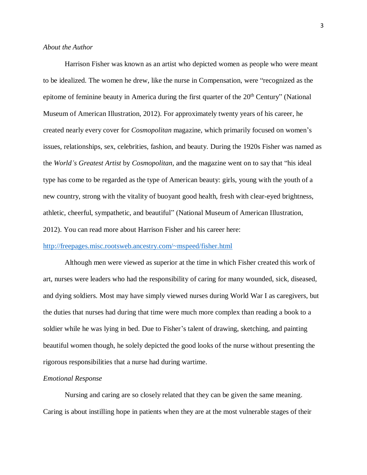## *About the Author*

Harrison Fisher was known as an artist who depicted women as people who were meant to be idealized. The women he drew, like the nurse in Compensation, were "recognized as the epitome of feminine beauty in America during the first quarter of the  $20<sup>th</sup>$  Century" (National Museum of American Illustration, 2012). For approximately twenty years of his career, he created nearly every cover for *Cosmopolitan* magazine, which primarily focused on women's issues, relationships, sex, celebrities, fashion, and beauty. During the 1920s Fisher was named as the *World's Greatest Artist* by *Cosmopolitan*, and the magazine went on to say that "his ideal type has come to be regarded as the type of American beauty: girls, young with the youth of a new country, strong with the vitality of buoyant good health, fresh with clear-eyed brightness, athletic, cheerful, sympathetic, and beautiful" (National Museum of American Illustration, 2012). You can read more about Harrison Fisher and his career here:

## <http://freepages.misc.rootsweb.ancestry.com/~mspeed/fisher.html>

Although men were viewed as superior at the time in which Fisher created this work of art, nurses were leaders who had the responsibility of caring for many wounded, sick, diseased, and dying soldiers. Most may have simply viewed nurses during World War I as caregivers, but the duties that nurses had during that time were much more complex than reading a book to a soldier while he was lying in bed. Due to Fisher's talent of drawing, sketching, and painting beautiful women though, he solely depicted the good looks of the nurse without presenting the rigorous responsibilities that a nurse had during wartime.

## *Emotional Response*

Nursing and caring are so closely related that they can be given the same meaning. Caring is about instilling hope in patients when they are at the most vulnerable stages of their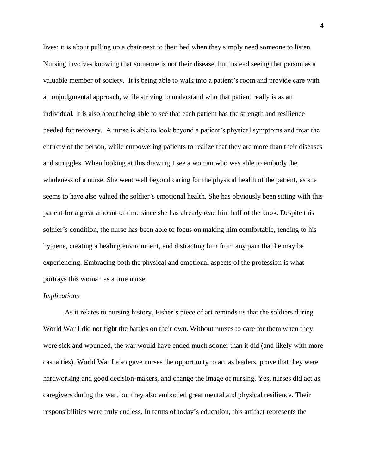lives; it is about pulling up a chair next to their bed when they simply need someone to listen. Nursing involves knowing that someone is not their disease, but instead seeing that person as a valuable member of society. It is being able to walk into a patient's room and provide care with a nonjudgmental approach, while striving to understand who that patient really is as an individual. It is also about being able to see that each patient has the strength and resilience needed for recovery. A nurse is able to look beyond a patient's physical symptoms and treat the entirety of the person, while empowering patients to realize that they are more than their diseases and struggles. When looking at this drawing I see a woman who was able to embody the wholeness of a nurse. She went well beyond caring for the physical health of the patient, as she seems to have also valued the soldier's emotional health. She has obviously been sitting with this patient for a great amount of time since she has already read him half of the book. Despite this soldier's condition, the nurse has been able to focus on making him comfortable, tending to his hygiene, creating a healing environment, and distracting him from any pain that he may be experiencing. Embracing both the physical and emotional aspects of the profession is what portrays this woman as a true nurse.

### *Implications*

As it relates to nursing history, Fisher's piece of art reminds us that the soldiers during World War I did not fight the battles on their own. Without nurses to care for them when they were sick and wounded, the war would have ended much sooner than it did (and likely with more casualties). World War I also gave nurses the opportunity to act as leaders, prove that they were hardworking and good decision-makers, and change the image of nursing. Yes, nurses did act as caregivers during the war, but they also embodied great mental and physical resilience. Their responsibilities were truly endless. In terms of today's education, this artifact represents the